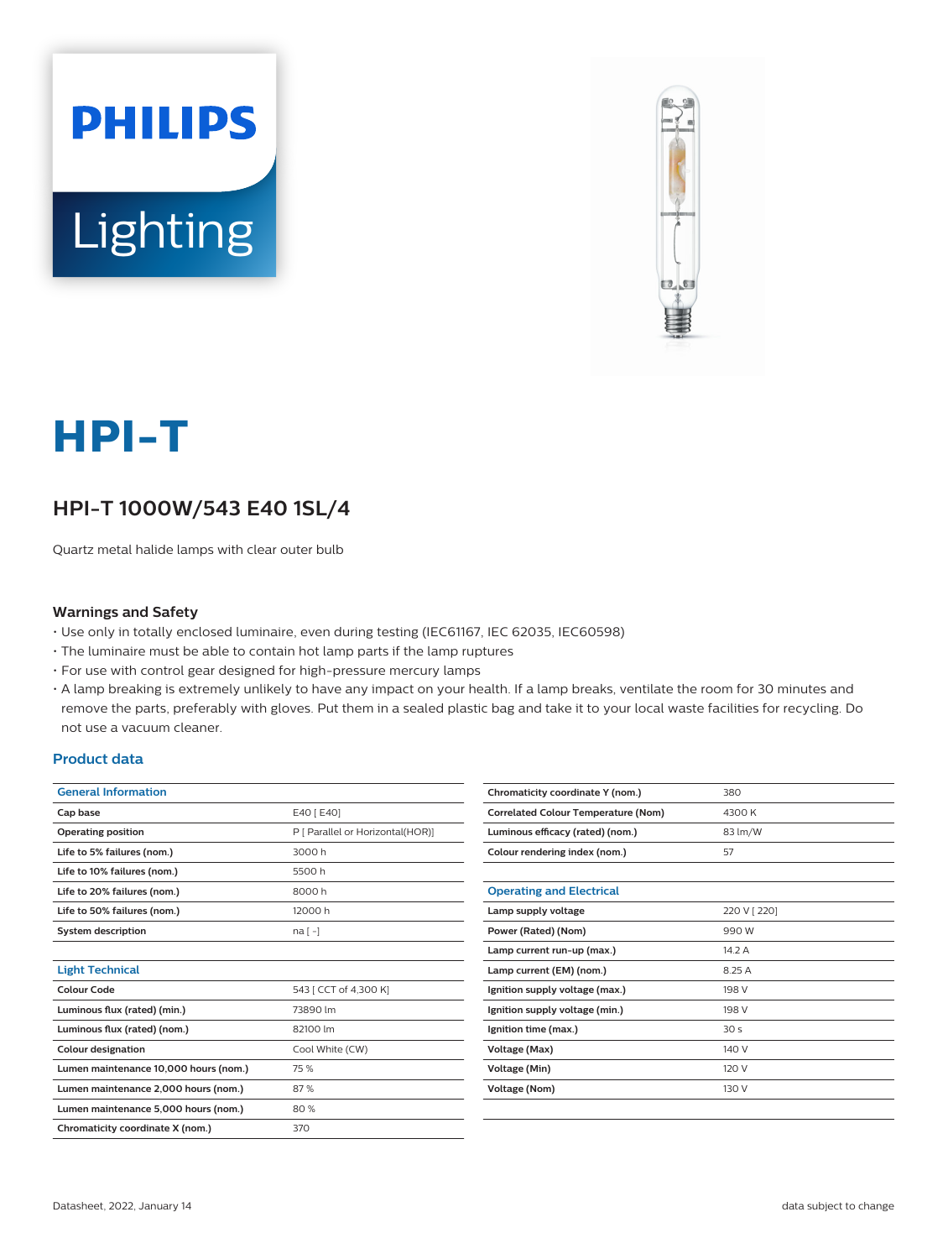



# **HPI-T**

# **HPI-T 1000W/543 E40 1SL/4**

Quartz metal halide lamps with clear outer bulb

#### **Warnings and Safety**

- Use only in totally enclosed luminaire, even during testing (IEC61167, IEC 62035, IEC60598)
- The luminaire must be able to contain hot lamp parts if the lamp ruptures
- For use with control gear designed for high-pressure mercury lamps
- A lamp breaking is extremely unlikely to have any impact on your health. If a lamp breaks, ventilate the room for 30 minutes and remove the parts, preferably with gloves. Put them in a sealed plastic bag and take it to your local waste facilities for recycling. Do not use a vacuum cleaner.

#### **Product data**

| <b>General Information</b>            |                                  |  |  |  |
|---------------------------------------|----------------------------------|--|--|--|
| Cap base                              | E40 [ E40]                       |  |  |  |
| <b>Operating position</b>             | P [ Parallel or Horizontal(HOR)] |  |  |  |
| Life to 5% failures (nom.)            | 3000 h                           |  |  |  |
| Life to 10% failures (nom.)           | 5500 h                           |  |  |  |
| Life to 20% failures (nom.)           | 8000 h                           |  |  |  |
| Life to 50% failures (nom.)           | 12000 h                          |  |  |  |
| <b>System description</b>             | $na[-]$                          |  |  |  |
|                                       |                                  |  |  |  |
| <b>Light Technical</b>                |                                  |  |  |  |
| Colour Code                           | 543 [ CCT of 4,300 K]            |  |  |  |
| Luminous flux (rated) (min.)          | 73890 lm                         |  |  |  |
| Luminous flux (rated) (nom.)          | 82100 lm                         |  |  |  |
| <b>Colour designation</b>             | Cool White (CW)                  |  |  |  |
| Lumen maintenance 10,000 hours (nom.) | 75 %                             |  |  |  |
| Lumen maintenance 2,000 hours (nom.)  | 87%                              |  |  |  |
| Lumen maintenance 5,000 hours (nom.)  | 80%                              |  |  |  |
| Chromaticity coordinate X (nom.)      | 370                              |  |  |  |
|                                       |                                  |  |  |  |

| Chromaticity coordinate Y (nom.)           | 380          |  |  |
|--------------------------------------------|--------------|--|--|
| <b>Correlated Colour Temperature (Nom)</b> | 4300 K       |  |  |
| Luminous efficacy (rated) (nom.)           | 83 lm/W      |  |  |
| Colour rendering index (nom.)              | 57           |  |  |
|                                            |              |  |  |
| <b>Operating and Electrical</b>            |              |  |  |
| Lamp supply voltage                        | 220 V [ 220] |  |  |
| Power (Rated) (Nom)                        | 990 W        |  |  |
| Lamp current run-up (max.)                 | 14.2A        |  |  |
| Lamp current (EM) (nom.)                   | 8.25 A       |  |  |
| Ignition supply voltage (max.)             | 198 V        |  |  |
| Ignition supply voltage (min.)             | 198 V        |  |  |
| Ignition time (max.)                       | 30s          |  |  |
| Voltage (Max)                              | 140 V        |  |  |
| Voltage (Min)                              | 120 V        |  |  |
| <b>Voltage (Nom)</b>                       | 130 V        |  |  |
|                                            |              |  |  |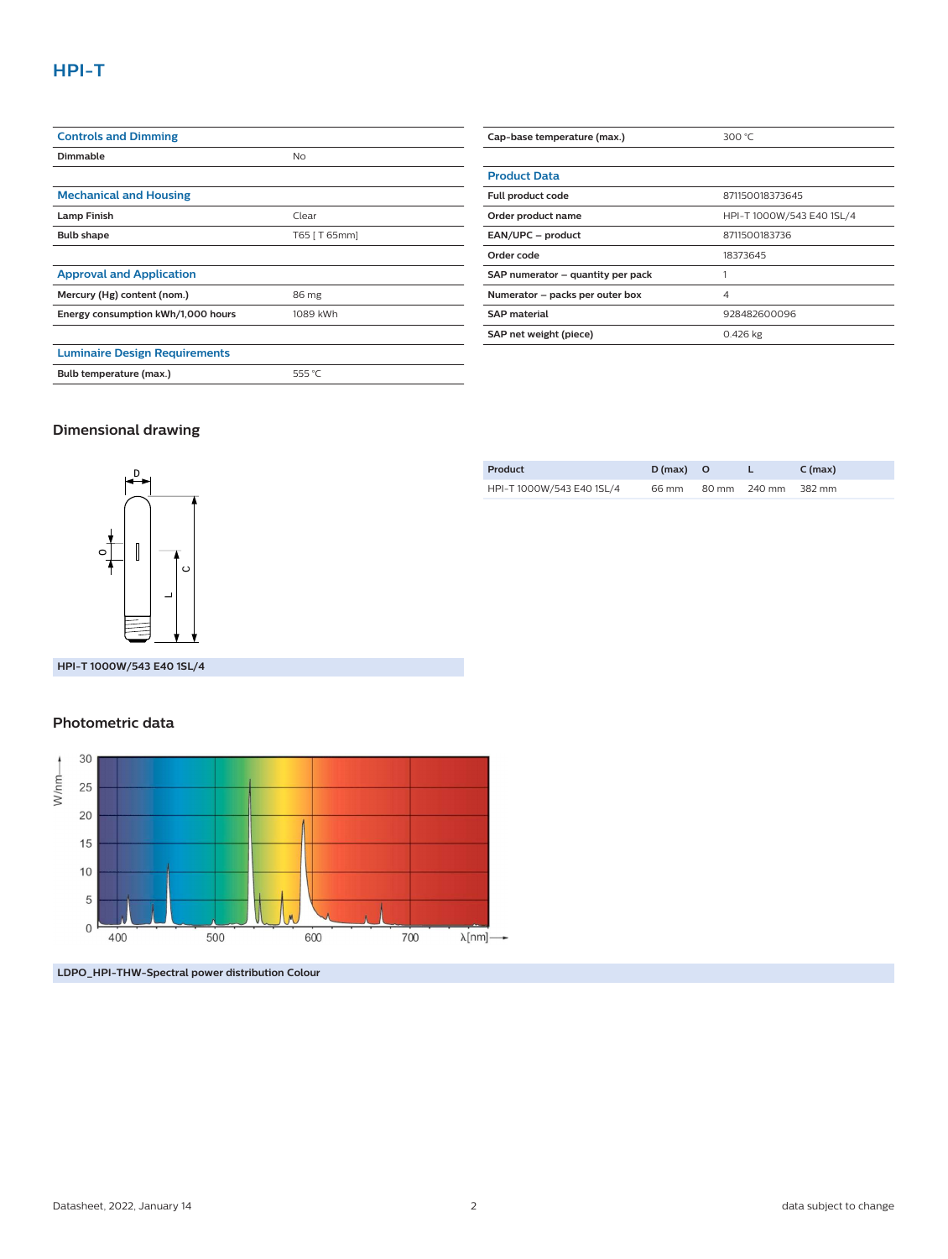| <b>Controls and Dimming</b>          |               |  |
|--------------------------------------|---------------|--|
| Dimmable                             | <b>No</b>     |  |
|                                      |               |  |
| <b>Mechanical and Housing</b>        |               |  |
| <b>Lamp Finish</b>                   | Clear         |  |
| <b>Bulb shape</b>                    | T65   T 65mm] |  |
|                                      |               |  |
| <b>Approval and Application</b>      |               |  |
| Mercury (Hg) content (nom.)          | 86 mg         |  |
| Energy consumption kWh/1,000 hours   | 1089 kWh      |  |
|                                      |               |  |
| <b>Luminaire Design Requirements</b> |               |  |
| Bulb temperature (max.)              | 555 °C        |  |

| Cap-base temperature (max.)       | 300 $°C$                  |  |  |
|-----------------------------------|---------------------------|--|--|
|                                   |                           |  |  |
| <b>Product Data</b>               |                           |  |  |
| Full product code                 | 871150018373645           |  |  |
| Order product name                | HPI-T 1000W/543 E40 1SL/4 |  |  |
| EAN/UPC - product                 | 8711500183736             |  |  |
| Order code                        | 18373645                  |  |  |
| SAP numerator - quantity per pack |                           |  |  |
| Numerator - packs per outer box   | 4                         |  |  |
| <b>SAP material</b>               | 928482600096              |  |  |
| SAP net weight (piece)            | $0.426$ kg                |  |  |

## **Dimensional drawing**



**HPI-T 1000W/543 E40 1SL/4**

#### **Photometric data**



**LDPO\_HPI-THW-Spectral power distribution Colour**

| Product                   | $D(max)$ O |                     | $C$ (max) |
|---------------------------|------------|---------------------|-----------|
| HPI-T 1000W/543 E40 1SL/4 | 66 mm      | 80 mm 240 mm 382 mm |           |